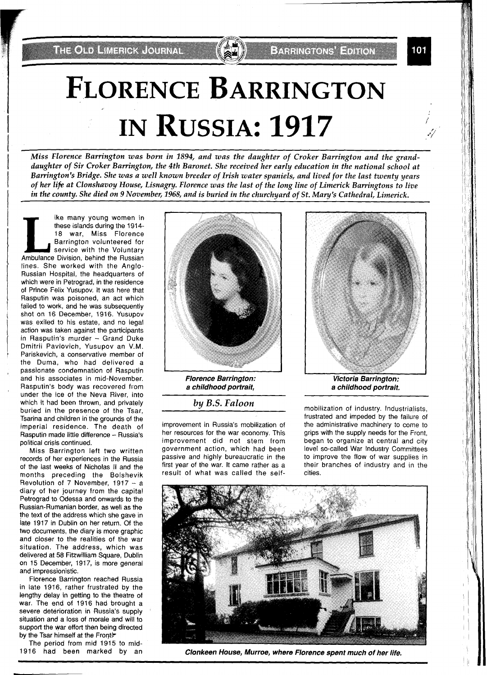**THE OLD LIMENOX JOURNAL** 

**BARRING ONS EDITOR** 

# **FLORENCE BARRINGTON IN RUSSIA: 1917**

*Miss Florence Barrington was born in 1894, and was the daughter of Croker Barrington and the grand*daughter of Sir Croker Barrington, the 4th Baronet. She received her early education in the national school at Barrington's Bridge. She was a well known breeder of Irish water spaniels, and lived for the last twenty years *of her lifi at Clonshavoy House, Lisnagry. Florence was the last of the long line of Limerick Barringtons to live in the countv. She died on 9 November, 1968, and is buried in the churchvard of St. Mauu's Cathedral, Limerick.* 

**Like many young women in**<br>
these islands during the 1914-<br>
18 war, Miss Florence<br>
Barrington volunteered for<br>
service with the Voluntary<br>
Ambulance Division, behind the Russian these islands during the 1914-18 war, Miss Florence Barrington volunteered for service with the Voluntary lines. She worked with the Anglo-Russian Hospital, the headquarters of which were in Petrograd, in the residence of Prince Felix Yusupov. It was here that Rasputin was poisoned, an act which failed to work, and he was subsequently shot on 16 December, 1916. Yusupov was exiled to his estate, and no legal action was taken against the participants in Rasputin's murder - Grand Duke Dmitrii Pavlovich, Yusupov an V.M. Pariskevich, a conservative member of the Duma, who had delivered a passionate condemnation of Rasputin and his associates in mid-November. Rasputin's body was recovered from under the ice of the Neva River, into which it had been thrown, and privately buried in the presence of the Tsar, Tsarina and children in the grounds of the imperial residence. The death of Rasputin made little difference - Russia's political crisis continued.

Miss Barrington left two written records of her experiences in the Russia of the last weeks of Nicholas I1 and the months preceding the Bolshevik Revolution of 7 November,  $1917 - a$ diary of her journey from the capital Petrograd to Odessa and onwards to the Pussian-Rumanian border, as well as the the text of the address which she gave in late 1917 in Dublin on her return. Of the two documents, the diary is more graphic and closer to the realities of the war situation. The address, which was delivered at 58 Fitzwilliam Square, Dublin on 15 December, 1917, is more general and impressionistic.

Florence Barrington reached Russia in late 1916, rather frustrated by the lengthy delay in getting to the theatre of war. The end of 1916 had brought a severe deterioration in Russia's supply situation and a loss of morale and will to support the war effort then being directed by the Tsar himself at the Front?

The period from mid 1915 to mid-1916 had been marked by an



**Florence Barrington: a childhood portrait,** 

**by** *B.S. Faloon* 

improvement in Russia's mobilization of her resources for the war economy. This improvement did not stem from government action, which had been passive and highly bureaucratic in the first year of the war. It came rather as a result of what was called the self- cities.

**Victoria Barrington:** 

**a childhood portrait.** 

mobilization of industry. Industrialists, frustrated and impeded by the failure of the administrative machinery to come to grips with the supply needs for the Front, began to organize at central and city level so-called War Industry Committees to improve the flow of war supplies in their branches of industry and in the



**I** 

**Clonkeen House, Murroe, where Florence spent much of her life.**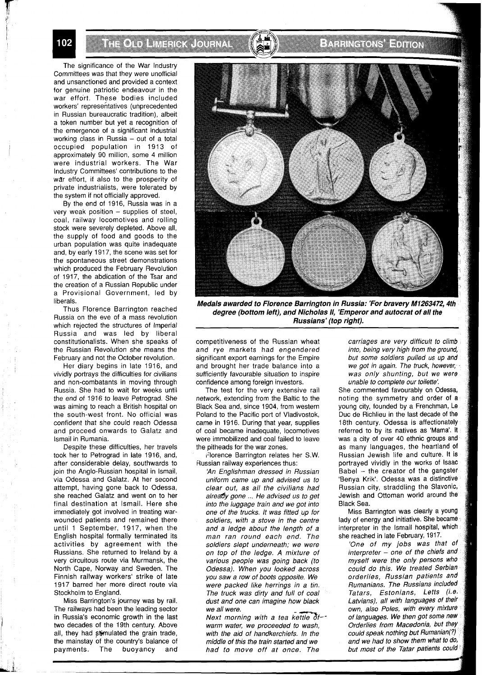THE OLD LINENCK JOURNAL

### **EXHANGIONS EDITON**

The significance of the War Industry Committees was that they were unofficial and unsanctioned and provided a context for genuine patriotic endeavour in the war effort. These bodies included workers' representatives (unprecedented in Russian bureaucratic tradition), albeit a token number but yet a recognition of the emergence of a significant industrial working class in Russia - out of a total occupied population in 1913 of approximately 90 million, some 4 million were industrial workers. The War Industry Committees' contributions to the war effort, if also to the prosperity of private industrialists, were tolerated by the system if not officially approved.

By the end of 1916, Russia was in a  $very$  weak position  $-$  supplies of steel, coal, railway locomotives and rolling stock were severely depleted. Above all, the supply of food and goods to the urban population was quite inadequate and, by early 1917, the scene was set for the spontaneous street demonstrations which produced the February Revolution of 1917, the abdication of the Tsar and the creation of a Russian Republic under a Provisional Government, led by liberals.

Thus Florence Barrington reached Russia on the eve of a mass revolution which rejected the structures of Imperial Russia and was led by liberal constitutionalists. When she speaks of the Russian Revolution she means the February and not the October revolution.

Her diary begins in late 1916, and vividly portrays the difficulties for civilians and non-combatants in moving through Russia. She had to wait for weeks until the end of 1916 to leave Petrograd. She was aiming to reach a British hospital on the south-west front. No official was confident that she could reach Odessa and proceed onwards to Galatz and lsmail in Rumania.

Despite these difficulties, her travels took her to Petrograd in late 1916, and, after considerable delay, southwards to join the Anglo-Russian hospital in Ismail, via Odessa and Galatz. At her second attempt, having gone back to Odessa, she reached Galatz and went on to her final destination at Ismail. Here she immediately got involved in treating warwounded patients and remained there until 1 September, 1917, when the English hospital formally terminated its activities by agreement with the Russians. She returned to Ireland by a very circuitous route via Murmansk, the North Cape, Norway and Sweden. The Finnish railway workers' strike of late 1917 barred her more direct route via Stockholm to England.

Miss Barrington's journey was by rail. The railways had been the leading sector in Russia's economic growth in the last two decades of the 19th century. Above all, they had stimulated the grain trade, the mainstay of the country's balance of payments. The buoyancy and



**Medals awarded to Florence Barrington in Russia: 'For bravery M1263472,4th degree (bottom left), and Nicholas 11, 'Emperor and autocrat of all the Russians' (top right).** 

competitiveness of the Russian wheat and rye markets had engendered significant export earnings for the Empire and brought her trade balance into a sufficiently favourable situation to inspire confidence among foreign investors.

The test for the very extensive rail network, extending from the Baltic to the Black Sea and, since 1904, from western Poland to the Pacific port of Vladivostok, came in 1916. During that year, supplies of coal became inadequate, locomotives were immobilized and coal failed to leave the pitheads for the war zones.

Florence Barrington relates her S.W. Russian railway experiences thus:

'An Englishman dressed in Russian uniform came up and advised us to clear out, as all the civilians had already gone ... He advised us to get into the luggage train and we got into one of the trucks. It was fitted up for soldiers, with a stove in the centre and a ledge about the length of a man ran round each end. The soldiers slept underneath; we were on top of the ledge. A mixture of various people was going back (to Odessa). When you looked across you saw a row of boots opposite. We were packed like herrings in a tin. The truck was dirty and full of coal dust and one can imagine how black we all were.

Next morning with a tea kettle  $\delta t$ -warm water, we proceeded to wash, with the aid of handkerchiefs. In the middle of this the train started and we had to move off at once. The

carriages are very difficult to climb into, being very high from the ground. but some soldiers pulled us up and we got in again. The truck, however, was only shunting, but we were unable to complete our toilette'.

She commented favourably on Odessa, noting the symmetry and order of a young city, founded by a Frenchman, Le Duc de Richlieu in the last decade of the 18th century. Odessa is affectionately referred to by its natives as 'Mama'. It was a city of over 40 ethnic groups and as many languages, the heartland of Russian Jewish life and culture. It is<br>portrayed vividly in the works of Isaac Babel - the creator of the gangster 'Benya Krik'. Odessa was a distinctive Russian city, straddling the Slavonic, Jewish and Ottoman world around the Black Sea.

Miss Barrington was clearly a youn lady of energy and initiative. She becam interpreter in the lsmail hospital, whic she reached in late February, 1917.

'One of my jobs was that of  $interpreter - one of the chiefs and$ myself were the only persons wh could do this. We treated Serbian orderlies, Russian patients and<br>Rumanians. The Russians included Tatars, Estonians, Letts (i.e. Latvians), all with languages of their own, also Poles, with every mixture of languages. We then got some new Orderlies from Macedonia, but they could speak nothing but Rumanian(?)<br>and we had to show them what to do, but most of the Tatar patients could

102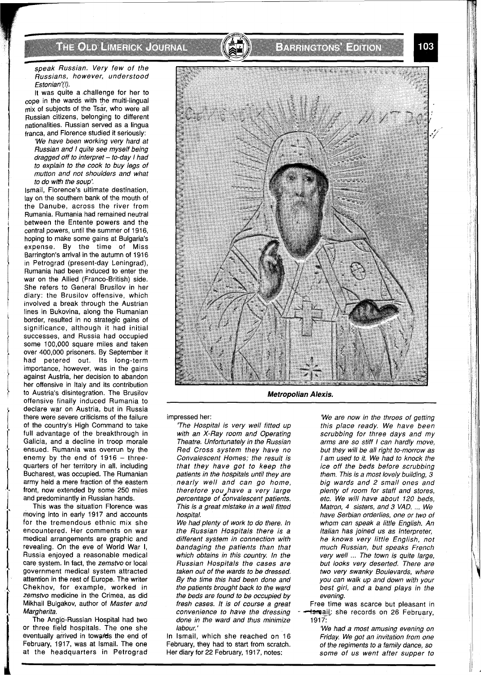#### h thìonn ann an an an an

#### speak Russian. Very few of the Russians, however, understood Estonian'(!).

It was quite a challenge for her to cope in the wards with the multi-lingual mix of subjects of the Tsar, who were all Russian citizens, belonging to different nationalities. Russian served as a lingua franca, and Florence studied it seriously:

'We have been working very hard at Russian and I quite see myself being dragged off to interpret  $-$  to-day I had to explain to the cook to buy legs of mutton and not shoulders and what to do wifh the soup:

Ismail, Florence's ultimate destination, lay on the southern bank of the mouth of the Danube, across the river from Rumania. Rumania had remained neutral between the Entente powers and the central powers, until the summer of 1916, hoping to make some gains at Bulgaria's expense. By the time of Miss Barrington's arrival in the autumn of 1916 in Petrograd (present-day Leningrad), Rumania had been induced to enter the war on the Allied (Franco-British) side. She refers to General Brusilov in her diary: the Brusilov offensive, which involved a break through the Austrian lines in Bukovina, along the Rumanian border, resulted in no strategic gains of significance, although it had initial successes, and Russia had occupied some 100,000 square miles and taken over 400,000 prisoners. By September it had petered out. Its long-term importance, however, was in the gains against Austria, her decision to abandon her offensive in Italy and its contribution to Austria's disintegration. The Brusilov offensive finally induced Rumania to declare war on Austria, but in Russia there were severe criticisms of the failure of the country's High Command to take full advantage of the breakthrough in Galicia, and a decline in troop morale ensued. Rumania was overrun by the enemy by the end of  $1916 -$  threequarters of her territory in all, including Bucharest, was occupied. The Rumanian army held a mere fraction of the eastern front, now extended by some 250 miles and predominantly in Russian hands.

This was the situation Florence was moving into in early 1917 and accounts for the tremendous ethnic mix she encountered. Her comments on war medical arrangements are graphic and revealing. On the eve of World War I, Russia enjoyed a reasonable medical care system. In fact, the zemstvo or local government medical system attracted attention in the rest of Europe. The writer Chekhov, for example, worked in zemstvo medicine in the Crimea, as did Mikhail Bulgakov, author of Master and Margherita.

The Anglo-Russian Hospital had two or three field hospitals. The one she eventually arrived in towards the end of February, 1917, was at Ismail. The one at the headquarters in Petrograd



E A THREAD NA H-AN T

**Metropolian Alexis.** 

impressed her:

'The Hospital is very well fitted up with an X-Ray room and Operating Theatre. Unfortunately in the Russian Red Cross system they have no Convalescent Homes; the result is that they have got to keep the patients in the hospitals until they are nearly well and can go home, therefore you have a very large percentage of convalescent patients. This is a great mistake in a well fitted hospital.

We had plenty of work to do there. In the Russian Hospitals there is a different system in connection with bandaging the patients than that which obtains in this country. In the Russian Hospitals the cases are taken out of the wards to be dressed. By the time this had been done and the patients brought back to the ward the beds are found to be occupied by fresh cases. It is of course a great convenience to have the dressing done in the ward and thus minimize labour. '

In Ismail, which she reached on 16 February, they had to start from scratch. Her diary for 22 February, 1917, notes:

'We are now in the throes of getting this place ready. We have been scrubbing for three days and my arms are so stiff I can hardly move, but they will be all right to-morrow as I am used to it. We had to knock the ice off the beds before scrubbing them. This is a most lovely building, 3 big wards and 2 small ones and plenty of room for staff and stores, etc. We will have about 120 beds, Matron, **4** sisters, and 3 VAD. ... We have Serbian orderlies, one or two of whom can speak a little English. An Italian has joined us as Interpreter, he knows very little English, not much Russian, but speaks French very well ... The town is quite large, but looks very deserted. There are two very swanky Boulevards, where you can walk up and down with your best girl, and a band plays in the evening.

Free time was scarce but pleasant in temail: she records on 26 February, 1917:

'We had a most amusing evening on Friday. We got an invitation from one of the regiments to a family dance, so some of us went after supper to